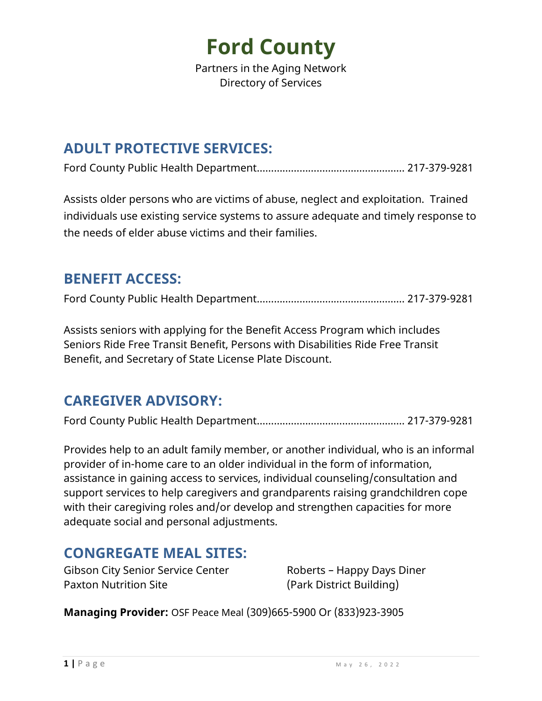Partners in the Aging Network Directory of Services

#### **ADULT PROTECTIVE SERVICES:**

Ford County Public Health Department……………………………………………. 217-379-9281

Assists older persons who are victims of abuse, neglect and exploitation. Trained individuals use existing service systems to assure adequate and timely response to the needs of elder abuse victims and their families.

#### **BENEFIT ACCESS:**

Ford County Public Health Department……………………………………………. 217-379-9281

Assists seniors with applying for the Benefit Access Program which includes Seniors Ride Free Transit Benefit, Persons with Disabilities Ride Free Transit Benefit, and Secretary of State License Plate Discount.

#### **CAREGIVER ADVISORY:**

Ford County Public Health Department……………………………………………. 217-379-9281

Provides help to an adult family member, or another individual, who is an informal provider of in-home care to an older individual in the form of information, assistance in gaining access to services, individual counseling/consultation and support services to help caregivers and grandparents raising grandchildren cope with their caregiving roles and/or develop and strengthen capacities for more adequate social and personal adjustments.

#### **CONGREGATE MEAL SITES:**

Gibson City Senior Service Center Roberts – Happy Days Diner Paxton Nutrition Site (Park District Building)

**Managing Provider:** OSF Peace Meal (309)665-5900 Or (833)923-3905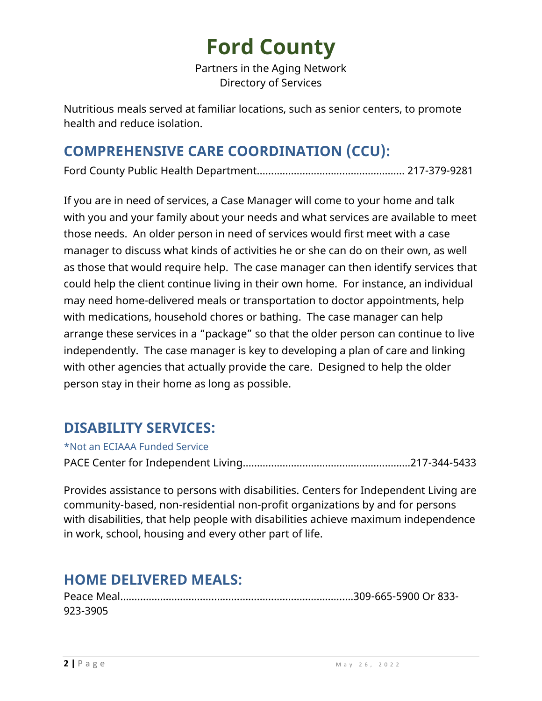Partners in the Aging Network Directory of Services

Nutritious meals served at familiar locations, such as senior centers, to promote health and reduce isolation.

### **COMPREHENSIVE CARE COORDINATION (CCU):**

Ford County Public Health Department……………………………………………. 217-379-9281

If you are in need of services, a Case Manager will come to your home and talk with you and your family about your needs and what services are available to meet those needs. An older person in need of services would first meet with a case manager to discuss what kinds of activities he or she can do on their own, as well as those that would require help. The case manager can then identify services that could help the client continue living in their own home. For instance, an individual may need home-delivered meals or transportation to doctor appointments, help with medications, household chores or bathing. The case manager can help arrange these services in a "package" so that the older person can continue to live independently. The case manager is key to developing a plan of care and linking with other agencies that actually provide the care. Designed to help the older person stay in their home as long as possible.

### **DISABILITY SERVICES:**

\*Not an ECIAAA Funded Service

PACE Center for Independent Living…………………………………………....…….217-344-5433

Provides assistance to persons with disabilities. Centers for Independent Living are community-based, non-residential non-profit organizations by and for persons with disabilities, that help people with disabilities achieve maximum independence in work, school, housing and every other part of life.

### **HOME DELIVERED MEALS:**

| 923-3905 |  |
|----------|--|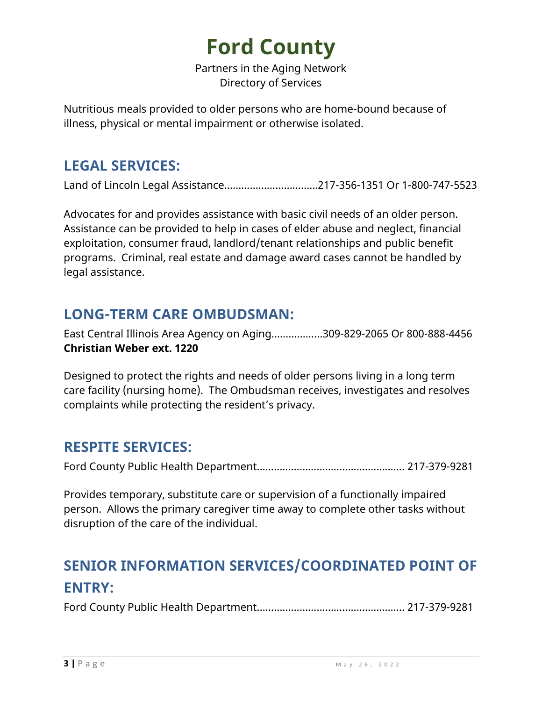Partners in the Aging Network Directory of Services

Nutritious meals provided to older persons who are home-bound because of illness, physical or mental impairment or otherwise isolated.

#### **LEGAL SERVICES:**

Land of Lincoln Legal Assistance……………………………217-356-1351 Or 1-800-747-5523

Advocates for and provides assistance with basic civil needs of an older person. Assistance can be provided to help in cases of elder abuse and neglect, financial exploitation, consumer fraud, landlord/tenant relationships and public benefit programs. Criminal, real estate and damage award cases cannot be handled by legal assistance.

#### **LONG-TERM CARE OMBUDSMAN:**

East Central Illinois Area Agency on Aging……………...309-829-2065 Or 800-888-4456 **Christian Weber ext. 1220** 

Designed to protect the rights and needs of older persons living in a long term care facility (nursing home). The Ombudsman receives, investigates and resolves complaints while protecting the resident's privacy.

#### **RESPITE SERVICES:**

Ford County Public Health Department……………………………………………. 217-379-9281

Provides temporary, substitute care or supervision of a functionally impaired person. Allows the primary caregiver time away to complete other tasks without disruption of the care of the individual.

### **SENIOR INFORMATION SERVICES/COORDINATED POINT OF ENTRY:**

Ford County Public Health Department……………………………………………. 217-379-9281